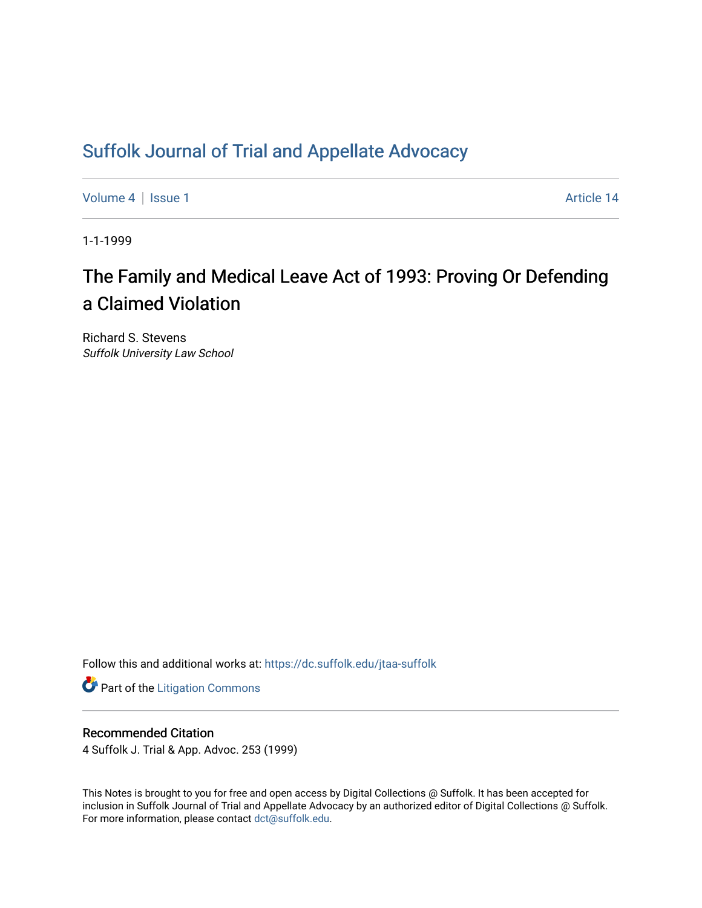# [Suffolk Journal of Trial and Appellate Advocacy](https://dc.suffolk.edu/jtaa-suffolk)

[Volume 4](https://dc.suffolk.edu/jtaa-suffolk/vol4) | [Issue 1](https://dc.suffolk.edu/jtaa-suffolk/vol4/iss1) Article 14

1-1-1999

# The Family and Medical Leave Act of 1993: Proving Or Defending a Claimed Violation

Richard S. Stevens Suffolk University Law School

Follow this and additional works at: [https://dc.suffolk.edu/jtaa-suffolk](https://dc.suffolk.edu/jtaa-suffolk?utm_source=dc.suffolk.edu%2Fjtaa-suffolk%2Fvol4%2Fiss1%2F14&utm_medium=PDF&utm_campaign=PDFCoverPages) 

**Part of the [Litigation Commons](https://network.bepress.com/hgg/discipline/910?utm_source=dc.suffolk.edu%2Fjtaa-suffolk%2Fvol4%2Fiss1%2F14&utm_medium=PDF&utm_campaign=PDFCoverPages)** 

# Recommended Citation

4 Suffolk J. Trial & App. Advoc. 253 (1999)

This Notes is brought to you for free and open access by Digital Collections @ Suffolk. It has been accepted for inclusion in Suffolk Journal of Trial and Appellate Advocacy by an authorized editor of Digital Collections @ Suffolk. For more information, please contact [dct@suffolk.edu](mailto:dct@suffolk.edu).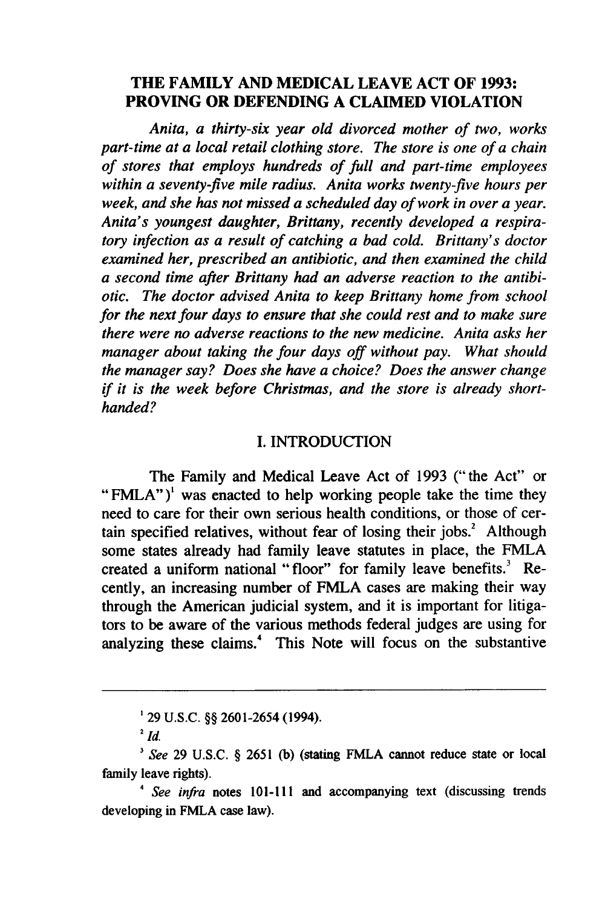## **THE FAMILY AND MEDICAL LEAVE ACT OF 1993: PROVING OR DEFENDING A CLAIMED VIOLATION**

*Anita, a thirty-six year old divorced mother of two, works part-time at a local retail clothing store. The store is one of a chain of stores that employs hundreds of full and part-time employees within a seventy-five mile radius. Anita works twenty-five hours per week, and she has not missed a scheduled day of work in over a year. Anita's youngest daughter, Brittany, recently developed a respiratory infection as a result of catching a bad cold. Brittany's doctor examined her, prescribed an antibiotic, and then examined the child a second time after Brittany had an adverse reaction to the antibiotic. The doctor advised Anita to keep Brittany home from school for the next four days to ensure that she could rest and to make sure there were no adverse reactions to the new medicine. Anita asks her manager about taking the four days off without pay. What should the manager say? Does she have a choice? Does the answer change if it is the week before Christmas, and the store is already short*handed?

#### **I.** INTRODUCTION

The Family and Medical Leave Act of 1993 (" the Act" or "FMLA")<sup>1</sup> was enacted to help working people take the time they need to care for their own serious health conditions, or those of certain specified relatives, without fear of losing their jobs. $2$  Although some states already had family leave statutes in place, the FMLA created a uniform national "floor" for family leave benefits.' Recently, an increasing number of FMLA cases are making their way through the American judicial system, and it is important for litigators to be aware of the various methods federal judges are using for analyzing these claims." This Note will focus on the substantive

**<sup>&#</sup>x27;** 29 U.S.C. §§ 2601-2654 (1994).

<sup>&</sup>lt;sup>2</sup>  $id$ 

*<sup>3</sup>See* 29 U.S.C. **§** 2651 (b) (stating FMLA cannot reduce state or local family leave rights).

<sup>4</sup>*See infra* notes 101-111 and accompanying text (discussing trends developing in FMLA case law).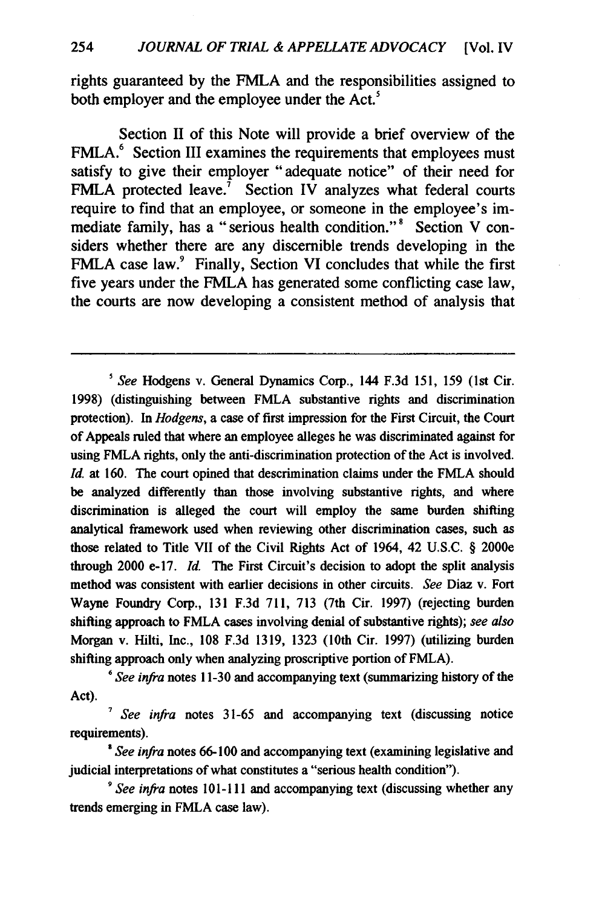rights guaranteed by the FMLA and the responsibilities assigned to both employer and the employee under the Act.<sup>5</sup>

Section II of this Note will provide a brief overview of the FMLA.<sup>6</sup> Section III examines the requirements that employees must satisfy to give their employer "adequate notice" of their need for FMLA protected leave.<sup>7</sup> Section IV analyzes what federal courts require to find that an employee, or someone in the employee's immediate family, has a "serious health condition."<sup>8</sup> Section V considers whether there are any discernible trends developing in the FMLA case law.<sup>9</sup> Finally, Section VI concludes that while the first five years under the FMLA has generated some conflicting case law, the courts are now developing a consistent method of analysis that

*"See infra* notes **11-30** and accompanying text (summarizing history of the Act).

*See infra* notes **31-65** and accompanying text (discussing notice requirements).

*'See infra* notes **66-100** and accompanying text (examining legislative and judicial interpretations of what constitutes a "serious health condition").

*9 See infra* notes **101-111** and accompanying text (discussing whether any trends emerging in FMLA case law).

*<sup>&#</sup>x27; See* Hodgens v. General Dynamics Corp., 144 F.3d 151, 159 (1st Cir. 1998) (distinguishing between FMLA substantive rights and discrimination protection). In *Hodgens,* a case of first impression for the First Circuit, the Court of Appeals ruled that where an employee alleges he was discriminated against for using FMLA rights, only the anti-discrimination protection of the Act is involved. *Id.* at 160. The court opined that descrimination claims under the FMLA should be analyzed differently than those involving substantive rights, and where discrimination is alleged the court will employ the same burden shifting analytical framework used when reviewing other discrimination cases, such as those related to Title VII of the Civil Rights Act of 1964, 42 U.S.C. § 2000e through 2000 e-17. *Id.* The First Circuit's decision to adopt the split analysis method was consistent with earlier decisions in other circuits. *See* Diaz v. Fort Wayne Foundry Corp., 131 F.3d 711, 713 (7th Cir. 1997) (rejecting burden shifting approach to FMLA cases involving denial of substantive rights); *see also* Morgan v. Hilti, Inc., **108 F.3d 1319, 1323** (10th Cir. **1997)** (utilizing burden shifting approach only when analyzing proscriptive portion of FMLA).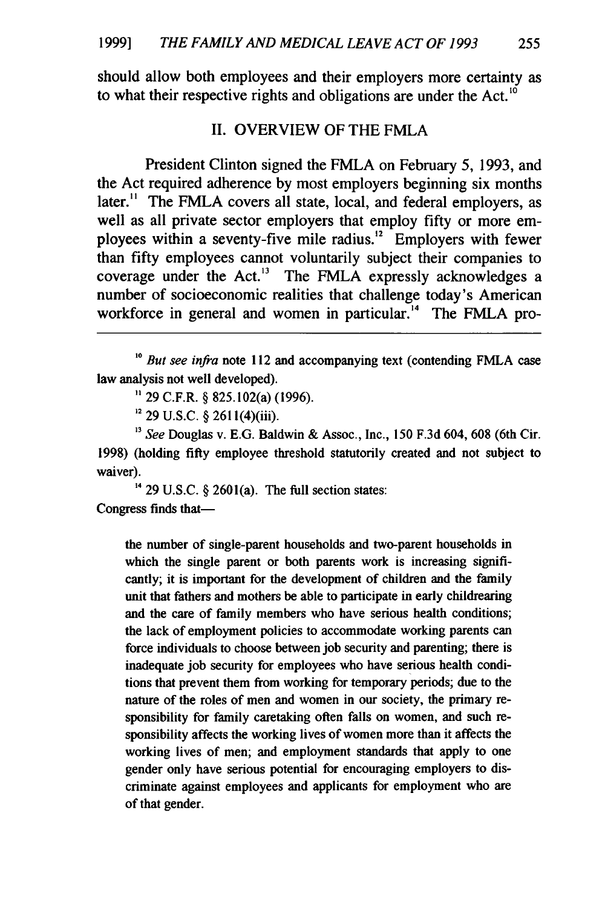should allow both employees and their employers more certainty as to what their respective rights and obligations are under the Act.<sup>10</sup>

#### II. OVERVIEW OF THE FMLA

President Clinton signed the FMLA on February 5, 1993, and the Act required adherence by most employers beginning six months later.<sup>11</sup> The FMLA covers all state, local, and federal employers, as well as all private sector employers that employ fifty or more employees within a seventy-five mile radius.<sup>12</sup> Employers with fewer than fifty employees cannot voluntarily subject their companies to coverage under the Act.<sup>13</sup> The FMLA expressly acknowledges a number of socioeconomic realities that challenge today's American workforce in general and women in particular.<sup>14</sup> The FMLA pro-

**" 29** C.F.R. § 825.102(a) (1996).

**12** 29 U.S.C. § 261 l(4)(iii).

*" See* Douglas v. E.G. Baldwin & Assoc., Inc., 150 F.3d 604, 608 (6th Cir. 1998) (holding **fifty** employee threshold statutorily created and not subject to waiver).

<sup>14</sup> 29 U.S.C.  $\S$  2601(a). The full section states: Congress finds that-

the number of single-parent households and two-parent households in which the single parent or both parents work is increasing significantly; it is important for the development of children and the family unit that fathers and mothers be able to participate in early childrearing and the care of family members who have serious health conditions; the lack of employment policies to accommodate working parents can force individuals to choose between job security and parenting; there is inadequate job security for employees who have serious health conditions that prevent them from working for temporary periods; due to the nature of the roles of men and women in our society, the primary responsibility for family caretaking often falls on women, and such responsibility affects the working lives of women more than it affects the working lives of men; and employment standards that apply to one gender only have serious potential for encouraging employers to discriminate against employees and applicants for employment who are of that gender.

<sup>&</sup>lt;sup>10</sup> *But see infra* note 112 and accompanying text (contending FMLA case) law analysis not well developed).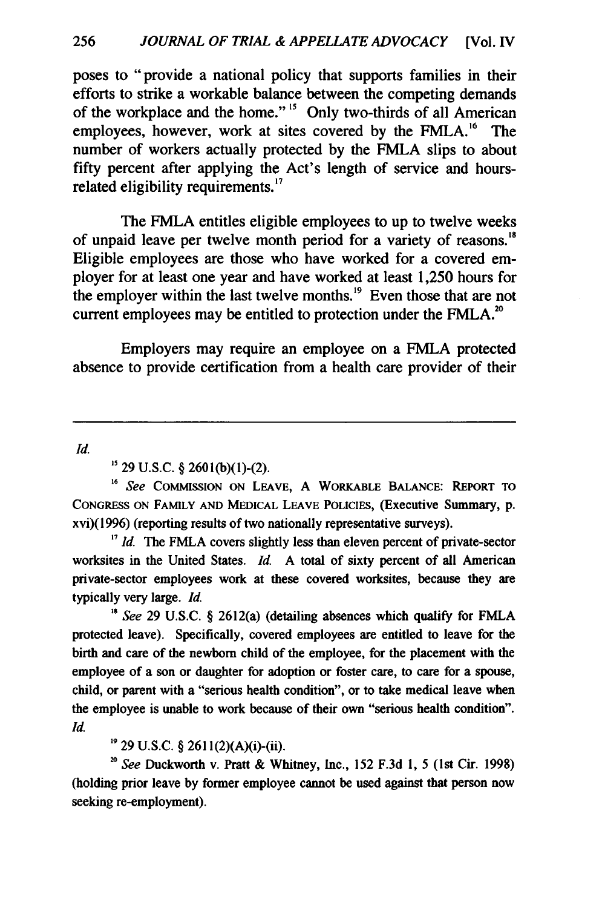poses to "provide a national policy that supports families in their efforts to strike a workable balance between the competing demands of the workplace and the home." **"5** Only two-thirds of all American employees, however, work at sites covered by the FMLA.<sup>16</sup> The number of workers actually protected by the FMLA slips to about fifty percent after applying the Act's length of service and hoursrelated eligibility requirements. **<sup>7</sup>**

The FMLA entitles eligible employees to up to twelve weeks of unpaid leave per twelve month period for a variety of reasons." Eligible employees are those who have worked for a covered employer for at least one year and have worked at least 1,250 hours for the employer within the last twelve months.<sup>19</sup> Even those that are not current employees may be entitled to protection under the FMLA.<sup>20</sup>

Employers may require an employee on a FMLA protected absence to provide certification from a health care provider of their

*Id.*

29 U.S.C. § **2601(b)(l)-(2).**

<sup>16</sup> See COMMISSION ON LEAVE, A WORKABLE BALANCE: REPORT TO CONGRESS ON FAMILY **AND** MEDICAL LEAVE POLICIES, (Executive Summary, **p.** xvi)(1996) (reporting results of two nationally representative surveys).

<sup>17</sup> Id. The FMLA covers slightly less than eleven percent of private-sector worksites in the United States. *Id.* A total of sixty percent of all American private-sector employees work at these covered worksites, because they are typically very large. *Id.*

**'"** See 29 U.S.C. § 2612(a) (detailing absences which qualify for FMLA protected leave). Specifically, covered employees are entitled to leave for the birth and care of the newborn child of the employee, for the placement with the employee of a son or daughter for adoption or foster care, to care for a spouse, child, or parent with a "serious health condition", or to take medical leave when the employee is unable to work because of their own "serious health condition". *Id.*

**1'** 29 U.S.C. § 261 l(2)(A)(i)-(ii).

*'0* See Duckworth v. Pratt & Whitney, Inc., 152 F.3d **1,** 5 (1st Cir. 1998) (holding prior leave by former employee cannot be used against that person now seeking re-employment).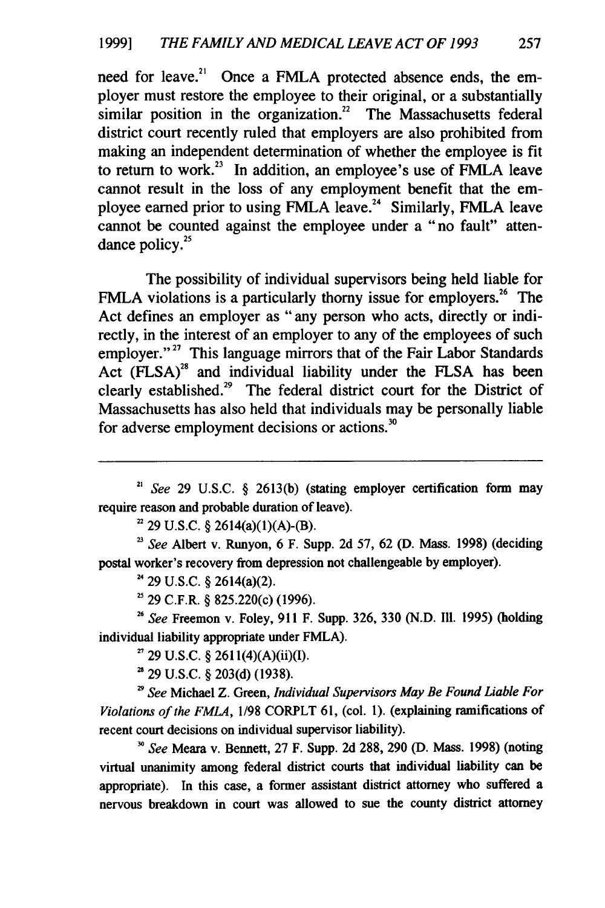need for leave.<sup>21</sup> Once a FMLA protected absence ends, the employer must restore the employee to their original, or a substantially similar position in the organization.<sup>22</sup> The Massachusetts federal district court recently ruled that employers are also prohibited from making an independent determination of whether the employee is fit to return to **work.<sup>23</sup>**In addition, an employee's use of FMLA leave cannot result in the loss of any employment benefit that the employee earned prior to using FMLA leave.<sup>24</sup> Similarly, FMLA leave cannot be counted against the employee under a "no fault" attendance policy. $25$ 

The possibility of individual supervisors being held liable for FMLA violations is a particularly thorny issue for employers.<sup>26</sup> The Act defines an employer as "any person who acts, directly or indirectly, in the interest of an employer to any of the employees of such employer."<sup>27</sup> This language mirrors that of the Fair Labor Standards Act **(FLSA) <sup>28</sup>**and individual liability under the **FLSA** has been clearly established.<sup>29</sup> The federal district court for the District of Massachusetts has also held that individuals may be personally liable for adverse employment decisions or actions.<sup>30</sup>

*2" See* **29 U.S.C. § 2613(b)** (stating employer certification form may require reason and probable duration of leave).

**<sup>22</sup>29 U.S.C. §** 2614(a)(1)(A)-(B).

*See* Albert v. Runyon, **6** F. Supp. **2d 57, 62 (D.** Mass. **1998)** (deciding postal worker's recovery from depression not challengeable **by** employer).

**<sup>24</sup>**29 **U.S.C. §** 2614(a)(2).

**5 29** C.F.R. **§** 825.220(c) **(1996).**

**<sup>26</sup>***See* Freemon v. Foley, **911** F. Supp. **326, 330 (N.D. I11. 1995)** (holding individual liability appropriate under FMLA).

**<sup>27</sup>29 U.S.C. §** 261 1(4)(A)(ii)(I).

**29 U.S.C. § 203(d) (1938).**

<sup>2</sup>*9See* Michael Z. Green, Individual Supervisors May Be Found Liable For *Violations of the FMLA,* **1/98** CORPLT **61,** (col. **1).** (explaining ramifications of recent court decisions on individual supervisor liability).

*' See* **Meara** v. Bennett, **27** F. Supp. **2d 288, 290 (D.** Mass. **1998)** (noting virtual unanimity among federal district courts that individual liability can be appropriate). In this case, a former assistant district attorney who suffered a nervous breakdown in court was allowed to sue the county district attorney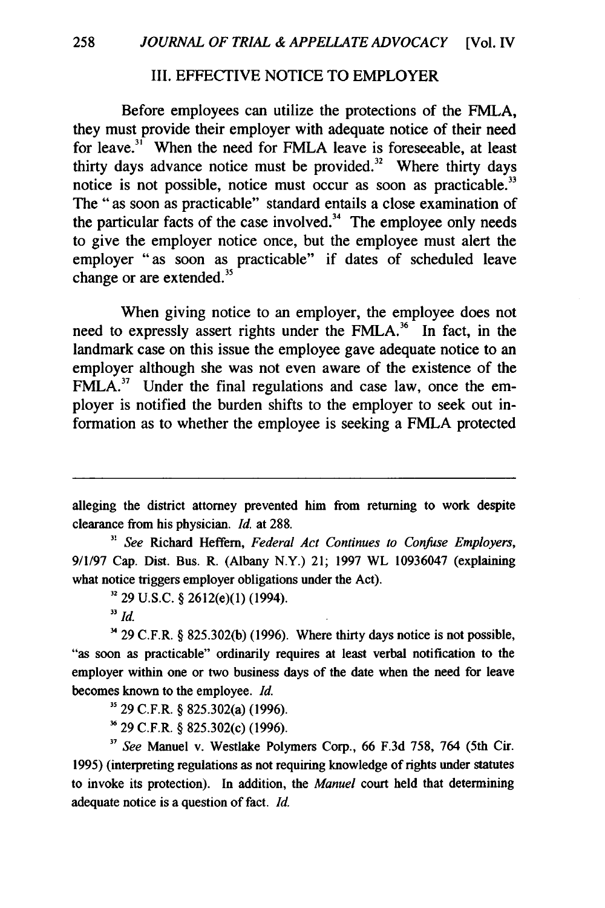## III. EFFECTIVE NOTICE TO EMPLOYER

Before employees can utilize the protections of the FMLA, they must provide their employer with adequate notice of their need for leave.<sup>31</sup> When the need for FMLA leave is foreseeable, at least thirty days advance notice must be provided. $32$  Where thirty days notice is not possible, notice must occur as soon as practicable." The "as soon as practicable" standard entails a close examination of the particular facts of the case involved. $34$  The employee only needs to give the employer notice once, but the employee must alert the employer "as soon as practicable" if dates of scheduled leave change or are extended.<sup>35</sup>

When giving notice to an employer, the employee does not need to expressly assert rights under the FMLA.<sup>36</sup> In fact, in the landmark case on this issue the employee gave adequate notice to an employer although she was not even aware of the existence of the  $FMLA<sup>37</sup>$  Under the final regulations and case law, once the employer is notified the burden shifts to the employer to seek out information as to whether the employee is seeking a FMLA protected

alleging the district attorney prevented him from returning to work despite clearance from his physician. *Id.* at **288.**

*3, See* Richard Heffern, *Federal Act Continues to Confuse Employers,* **9/1/97** Cap. Dist. Bus. R. (Albany N.Y.) 21; **1997** WL **10936047 (explaining** what notice triggers employer obligations under the Act).

**32** 29 U.S.C. § 2612(e)(1) (1994).

 $34$  29 C.F.R. § 825.302(b) (1996). Where thirty days notice is not possible, "as soon as practicable" ordinarily requires at least verbal notification to the employer within one or two business days of the date when the need for leave becomes known to the employee. *Id.*

**"** 29 C.F.R. § 825.302(a) (1996).

**3'** 29 C.F.R. § 825.302(c) (1996).

*<sup>17</sup>See* Manuel v. Westlake Polymers Corp., 66 F.3d 758, 764 (5th Cir. 1995) (interpreting regulations as not requiring knowledge of rights under statutes to invoke its protection). In addition, the *Manuel* court held that determining adequate notice is a question of fact. *Id.*

*<sup>33</sup> ld.*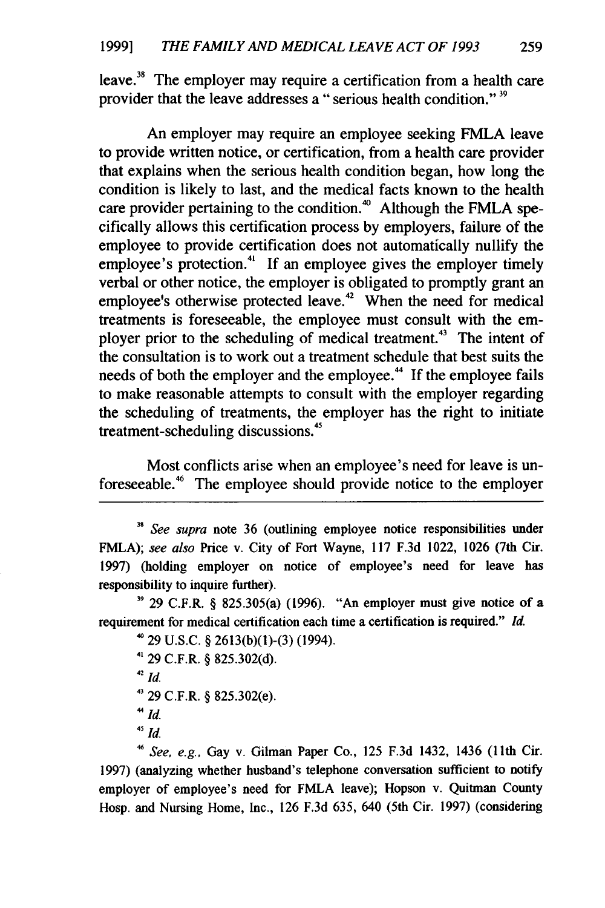leave.<sup>38</sup> The employer may require a certification from a health care provider that the leave addresses a "serious health condition."<sup>39</sup>

An employer may require an employee seeking FMLA leave to provide written notice, or certification, from a health care provider that explains when the serious health condition began, how long the condition is likely to last, and the medical facts known to the health care provider pertaining to the condition.<sup>40</sup> Although the FMLA specifically allows this certification process by employers, failure of the employee to provide certification does not automatically nullify the employee's protection.<sup>41</sup> If an employee gives the employer timely verbal or other notice, the employer is obligated to promptly grant an employee's otherwise protected leave.<sup> $42$ </sup> When the need for medical treatments is foreseeable, the employee must consult with the employer prior to the scheduling of medical treatment.<sup>43</sup> The intent of the consultation is to work out a treatment schedule that best suits the needs of both the employer and the employee." If the employee fails to make reasonable attempts to consult with the employer regarding the scheduling of treatments, the employer has the right to initiate treatment-scheduling discussions.<sup>45</sup>

Most conflicts arise when an employee's need for leave is unforeseeable.46 The employee should provide notice to the employer

**'9** 29 C.F.R. § 825.305(a) (1996). "An employer must give notice of a requirement for medical certification each time a certification is required." *Id.*

```
^{\text{40}} 29 U.S.C. § 2613(b)(1)-(3) (1994).
41 29 C.F.R. § 825.302(d).
42Id.
4' 29 C.F.R. § 825.302(e).
"Id.
45 Id.
```
**<sup>46</sup>***See, e.g.,* Gay v. Gilman Paper Co., 125 F.3d 1432, 1436 (1 1th Cir. 1997) (analyzing whether husband's telephone conversation sufficient to notify employer of employee's need for FMLA leave); Hopson v. Quitman County Hosp. and Nursing Home, Inc., 126 F.3d 635, 640 (5th Cir. 1997) (considering

<sup>&</sup>lt;sup>38</sup> *See supra* note 36 (outlining employee notice responsibilities under FMLA); *see also* Price v. City of Fort Wayne, 117 F.3d 1022, 1026 (7th Cir. 1997) (holding employer on notice of employee's need for leave has responsibility to inquire further).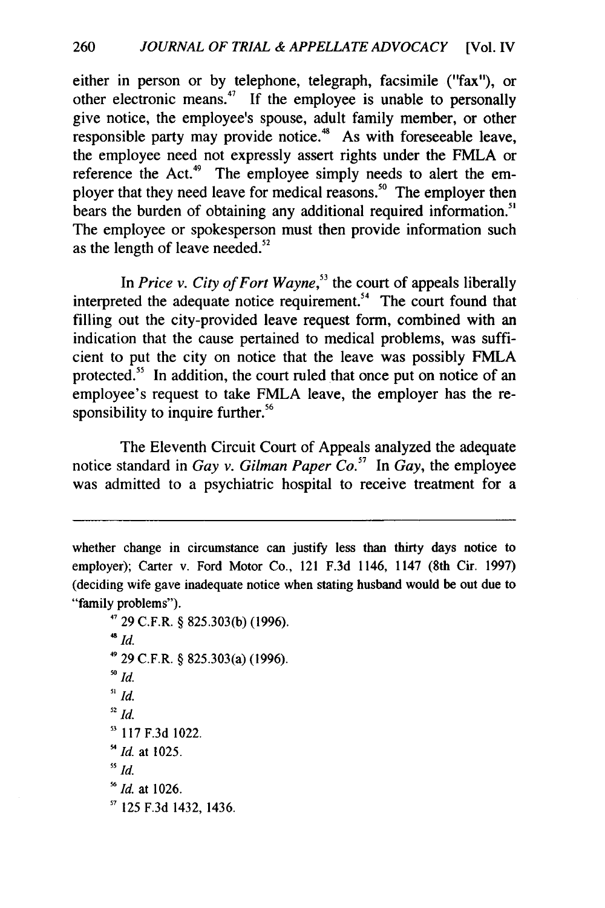either in person or by telephone, telegraph, facsimile ("fax"), or other electronic means.<sup> $47$ </sup> If the employee is unable to personally give notice, the employee's spouse, adult family member, or other responsible party may provide notice.<sup>48</sup> As with foreseeable leave, the employee need not expressly assert rights under the FMLA or reference the Act.<sup>49</sup> The employee simply needs to alert the employer that they need leave for medical reasons.<sup>50</sup> The employer then bears the burden of obtaining any additional required information.<sup>51</sup> The employee or spokesperson must then provide information such as the length of leave needed. $52$ 

In *Price v. City of Fort Wayne*,<sup>53</sup> the court of appeals liberally interpreted the adequate notice requirement.<sup>54</sup> The court found that filling out the city-provided leave request form, combined with an indication that the cause pertained to medical problems, was sufficient to put the city on notice that the leave was possibly FMLA protected.<sup>55</sup> In addition, the court ruled that once put on notice of an employee's request to take FMLA leave, the employer has the responsibility to inquire further.<sup>56</sup>

The Eleventh Circuit Court of Appeals analyzed the adequate notice standard in *Gay v. Gilman Paper Co. <sup>7</sup>*In *Gay,* the employee was admitted to a psychiatric hospital to receive treatment for a

**,7** 29 C.F.R. § 825.303(b) (1996). *48 id.* 4929 C.F.R. § 825.303(a) (1996). **<sup>50</sup>***id. 51 Id.*  $\frac{52}{1}$ *Id.* **"** 117 F.3d 1022. *Id.* at 1025. *55 Id. '6Id.* at 1026. **<sup>17</sup>***125* F.3d 1432, 1436.

whether change in circumstance can justify less than thirty days notice to employer); Carter v. Ford Motor Co., 121 F.3d 1146, 1147 (8th Cir. 1997) (deciding wife gave inadequate notice when stating husband would be out due to "family problems").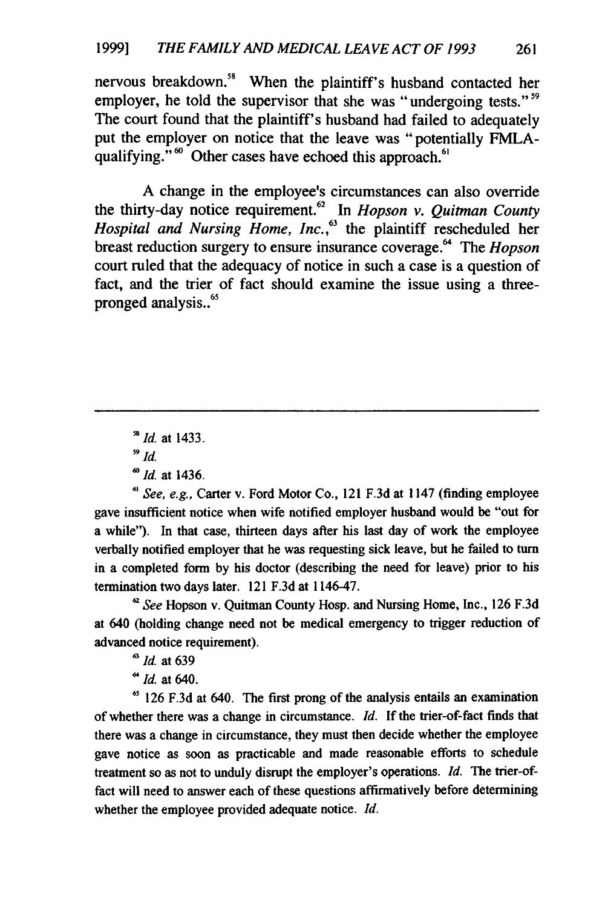nervous breakdown.<sup>58</sup> When the plaintiff's husband contacted her employer, he told the supervisor that she was "undergoing tests."<sup>59</sup> The court found that the plaintiff's husband had failed to adequately put the employer on notice that the leave was "potentially FMLAqualifying."<sup>60</sup> Other cases have echoed this approach.<sup>61</sup>

**A** change in the employee's circumstances can also override the thirty-day notice requirement.62 **In** *Hopson v. Quitman County Hospital and Nursing Home, Inc. ,63* the plaintiff rescheduled her breast reduction surgery to ensure insurance coverage.<sup>64</sup> The *Hopson* court ruled that the adequacy of notice in such a case is a question of fact, and the trier of fact should examine the issue using a threepronged analysis..<sup>65</sup>

*" See, e.g.,* Carter v. Ford Motor Co., 121 **F.3d** at 1147 (finding employee gave insufficient notice when wife notified employer husband would be "out for a while"). In that case, thirteen days after his last day of work the employee verbally notified employer that he was requesting sick leave, but he failed to turn in a completed form **by** his doctor (describing the need for leave) prior to his termination two days later. 121 **F.3d** at 1146-47.

*' See* Hopson v. Quitman County Hosp. and Nursing Home, Inc., **126 F.3d** at 640 (holding change need not be medical emergency to trigger reduction of advanced notice requirement).

*<sup>63</sup>*Id. at **639**

6 *Id.* at 640.

**65 126 F.3d** at 640. The first prong of the analysis entails an examination of whether there was a change in circumstance. *Id.* **If** the trier-of-fact finds that there was a change in circumstance, they must then decide whether the employee gave notice as soon as practicable and made reasonable efforts to schedule treatment so as not to unduly disrupt the employer's operations. *Id.* The trier-offact will need to answer each of these questions affirmatively before determining whether the employee provided adequate notice. *Id.*

*<sup>8</sup>Id.* at 1433.

**<sup>59</sup>** *Id.*

*<sup>0</sup>Id.* at 1436.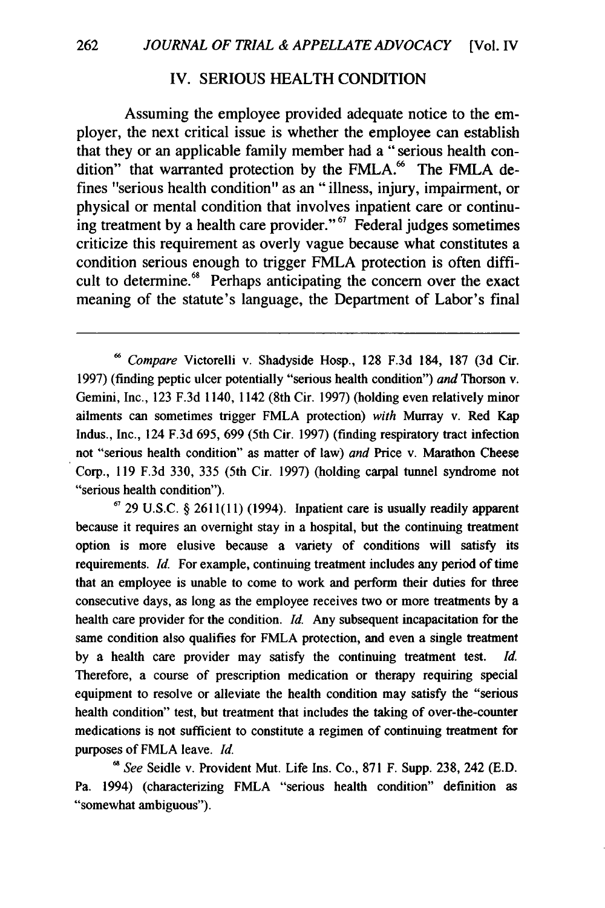#### IV. **SERIOUS** HEALTH **CONDITION**

Assuming the employee provided adequate notice to the employer, the next critical issue is whether the employee can establish that they or an applicable family member had a "serious health condition" that warranted protection by the FMLA.<sup>66</sup> The FMLA defines "serious health condition" as an "illness, injury, impairment, or physical or mental condition that involves inpatient care or continuing treatment **by** a health care provider." **67** Federal judges sometimes criticize this requirement as overly vague because what constitutes a condition serious enough to trigger FMLA protection is often difficult to determine.<sup>68</sup> Perhaps anticipating the concern over the exact meaning of the statute's language, the Department of Labor's final

**<sup>67</sup>29 U.S.C. § 2611(11)** (1994). Inpatient care is usually readily apparent because it requires an overnight stay in a hospital, but the continuing treatment option is more elusive because a variety of conditions will satisfy its requirements. *Id.* For example, continuing treatment includes any period of time that an employee is unable to come to work and perform their duties for three consecutive days, as long as the employee receives two or more treatments **by** a health care provider for the condition. *Id.* Any subsequent incapacitation for the same condition also qualifies for FMLA protection, and even a single treatment **by** a health care provider may satisfy the continuing treatment test. *Id.* Therefore, a course of prescription medication or therapy requiring special equipment to resolve or alleviate the health condition may satisfy the "serious health condition" test, but treatment that includes the taking of over-the-counter medications is not sufficient to constitute a regimen of continuing treatment for purposes of FMLA leave. *Id.*

*,8See* Seidle v. Provident Mut. Life Ins. Co., **871** F. Supp. **238,** 242 **(E.D.** Pa. 1994) (characterizing FMLA "serious health condition" definition as "somewhat ambiguous").

*Compare* Victorelli v. Shadyside Hosp., **128 F.3d** 184, **187 (3d** Cir. **1997)** (finding peptic ulcer potentially "serious health condition") *and* Thorson v. Gemini, Inc., **123 F.3d** 1140, 1142 (8th Cir. **1997)** (holding even relatively minor ailments can sometimes trigger FMLA protection) *with* Murray v. Red Kap Indus., Inc., 124 **F.3d 695, 699** (5th Cir. **1997)** (finding respiratory tract infection not "serious health condition" as matter of law) *and* Price v. Marathon Cheese Corp., **119 F.3d 330, 335** (5th Cir. **1997)** (holding carpal tunnel syndrome not "serious health condition").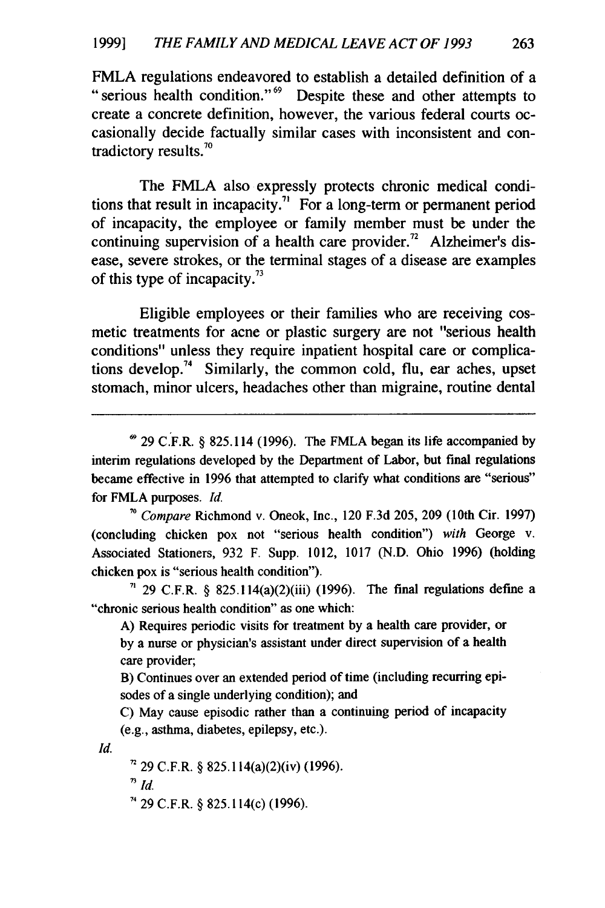FMLA regulations endeavored to establish a detailed definition of a "serious health condition."<sup>69</sup> Despite these and other attempts to create a concrete definition, however, the various federal courts occasionally decide factually similar cases with inconsistent and contradictory results.<sup>70</sup>

The FMLA also expressly protects chronic medical conditions that result in incapacity.<sup>71</sup> For a long-term or permanent period of incapacity, the employee or family member must be under the continuing supervision of a health care provider.<sup> $n$ </sup> Alzheimer's disease, severe strokes, or the terminal stages of a disease are examples of this type of incapacity."

Eligible employees or their families who are receiving cosmetic treatments for acne or plastic surgery are not "serious health conditions" unless they require inpatient hospital care or complications develop.<sup>74</sup> Similarly, the common cold, flu, ear aches, upset stomach, minor ulcers, headaches other than migraine, routine dental

**<sup>69</sup>29** C.F.R. **§** 825.114 **(1996).** The FMLA began its life accompanied **by** interim regulations developed **by** the Department of Labor, but final regulations became effective in **1996** that attempted to clarify what conditions are "serious" for FMLA purposes. *Id.*

*70 Compare* Richmond v. Oneok, Inc., 120 **F.3d 205, 209** (10th Cir. **1997)** (concluding chicken pox not "serious health condition") *with* George v. Associated Stationers, **932** F. Supp. 1012, **1017 (N.D.** Ohio **1996)** (holding chicken pox is "serious health condition").

**" 29** C.F.R. **§** 825.114(a)(2)(iii) **(1996).** The final regulations define a "chronic serious health condition" as one which:

**A)** Requires periodic visits for treatment **by** a health care provider, or **by** a nurse or physician's assistant under direct supervision of a health care provider;

B) Continues over an extended period of time (including recurring episodes of a single underlying condition); and

**C)** May cause episodic rather than a continuing period of incapacity (e.g., asthma, diabetes, epilepsy, etc.).

Id.

**, 29** C.F.R. **§** 825.114(a)(2)(iv) **(1996).**

 $\sqrt[3]{1}$ 

**', 29** C.F.R. **§** 825.114(c) **(1996).**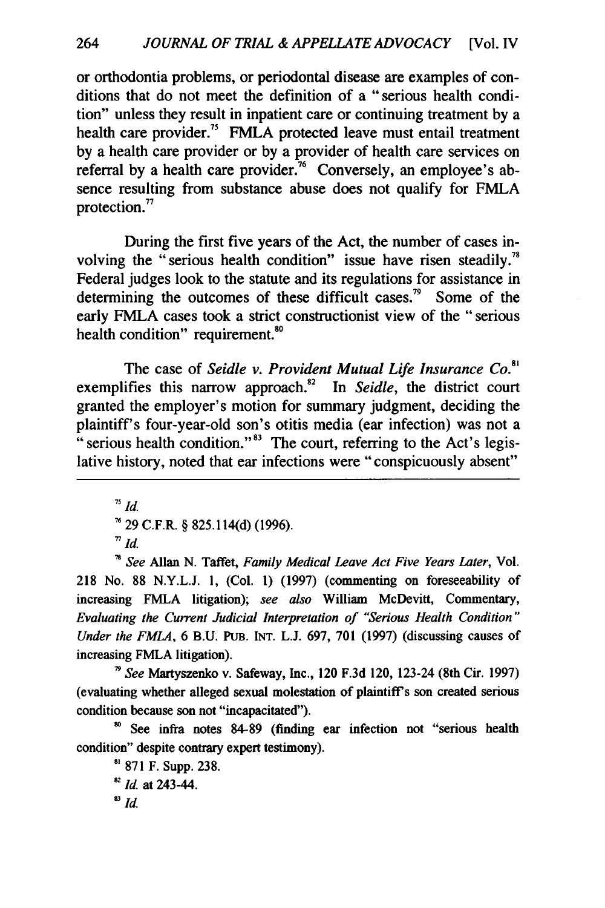or orthodontia problems, or periodontal disease are examples of conditions that do not meet the definition of a "serious health condition" unless they result in inpatient care or continuing treatment by a health care provider.<sup>75</sup> FMLA protected leave must entail treatment by a health care provider or by a provider of health care services on referral by a health care provider.<sup>76</sup> Conversely, an employee's absence resulting from substance abuse does not qualify for FMLA protection."

During the first five years of the Act, the number of cases involving the "serious health condition" issue have risen steadily.<sup>78</sup> Federal judges look to the statute and its regulations for assistance in determining the outcomes of these difficult cases.<sup>79</sup> Some of the early FMLA cases took a strict constructionist view of the "serious health condition" requirement.<sup>80</sup>

The case of *Seidle v. Provident Mutual Life Insurance Co.<sup>8</sup>* exemplifies this narrow approach." In *Seidle,* the district court granted the employer's motion for summary judgment, deciding the plaintiff's four-year-old son's otitis media (ear infection) was not a " serious health condition." $83$  The court, referring to the Act's legislative history, noted that ear infections were "conspicuously absent"

**75** *Id.*

**7629** C.F.R. § **825.114(d) (1996).**

 $T/d$ .

*See* Allan **N.** Taffet, *Family Medical Leave Act Five Years Later,* Vol. **218** No. **88 N.Y.L.J. 1,** (Col. **1) (1997)** (commenting on foreseeability of increasing FMLA litigation); *see also* William McDevitt, Commentary, *Evaluating the Current Judicial Interpretation of "Serious Health Condition" Under the FMLA,* **6 B.U.** PUB. **INT. L.J. 697, 701 (1997)** (discussing causes of increasing FMLA litigation).

*,9See* Martyszenko v. Safeway, Inc., 120 **F.3d** 120, 123-24 (8th **Cir. 1997)** (evaluating whether alleged sexual molestation of plaintiff's son created serious condition because son not "incapacitated").

**'o** See infra notes **84-89** (finding ear infection not "serious health condition" despite contrary expert testimony).

**s871** F. Supp. **238. 82Id.** at 243-44. *8Id.*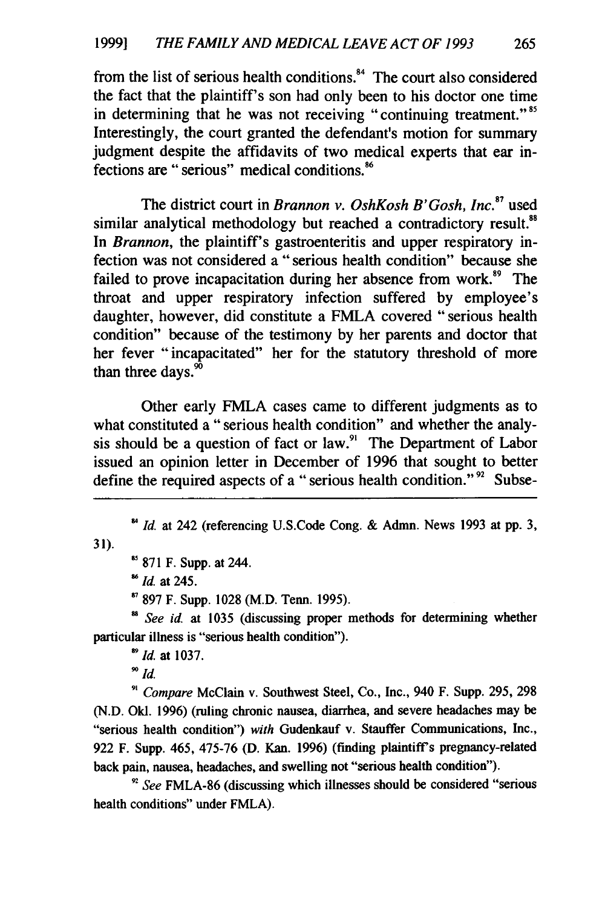from the list of serious health conditions.<sup>84</sup> The court also considered the fact that the plaintiff's son had only been to his doctor one time in determining that he was not receiving "continuing treatment."<sup>85</sup> Interestingly, the court granted the defendant's motion for summary judgment despite the affidavits of two medical experts that ear infections are "serious" medical conditions. <sup>86</sup>

The district court in *Brannon v. OshKosh B'Gosh, Inc.*<sup>87</sup> used similar analytical methodology but reached a contradictory result.<sup>88</sup> In *Brannon*, the plaintiff's gastroenteritis and upper respiratory infection was not considered a "serious health condition" because she failed to prove incapacitation during her absence from work.<sup>89</sup> The throat and upper respiratory infection suffered by employee's daughter, however, did constitute a FMLA covered "serious health condition" because of the testimony by her parents and doctor that her fever "incapacitated" her for the statutory threshold of more than three days. $\overline{5}$ 

Other early FMLA cases came to different judgments as to what constituted a "serious health condition" and whether the analysis should be a question of fact or law. $91$  The Department of Labor issued an opinion letter in December of 1996 that sought to better define the required aspects of a "serious health condition."<sup>92</sup> Subse-

<sup>85</sup> 871 F. Supp. at 244.

*Id.* at 245.

**7** 897 F. Supp. 1028 (M.D. Tenn. 1995).

*See id.* at 1035 (discussing proper methods for determining whether particular illness is "serious health condition").

*" Id.* at 1037.

**90** *Id.*

31).

*9, Compare* McClain v. Southwest Steel, Co., Inc., 940 F. Supp. 295, 298 (N.D. Okl. 1996) (ruling chronic nausea, diarrhea, and severe headaches may be "serious health condition") *with* Gudenkauf v. Stauffer Communications, Inc., 922 F. Supp. 465, 475-76 (D. Kan. 1996) (finding plaintiff's pregnancy-related back pain, nausea, headaches, and swelling not "serious health condition").

*"' See* FMLA-86 (discussing which illnesses should be considered "serious health conditions" under FMLA).

<sup>&</sup>lt;sup>84</sup> Id. at 242 (referencing U.S.Code Cong. & Admn. News 1993 at pp. 3,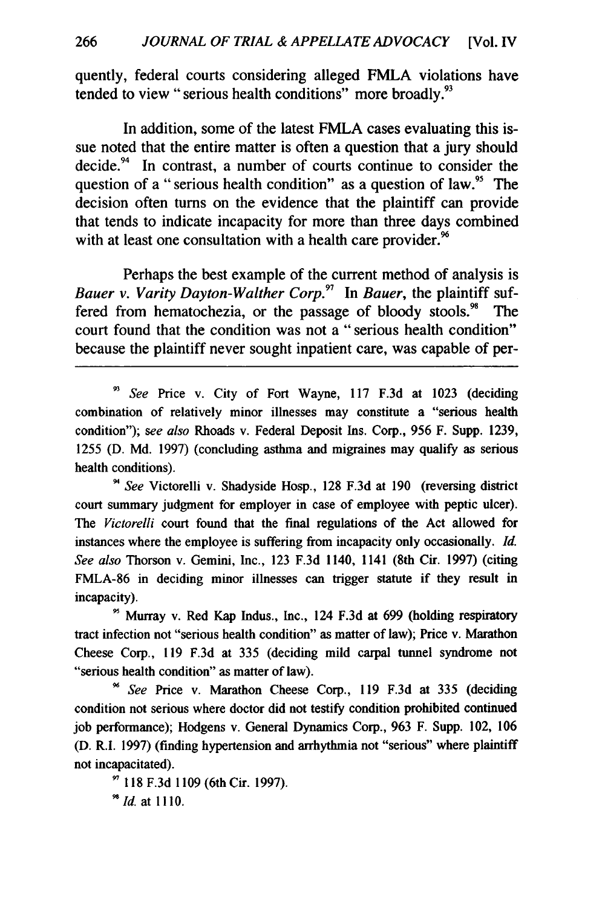quently, federal courts considering alleged FMLA violations have tended to view "serious health conditions" more broadly.<sup>93</sup>

In addition, some of the latest FMLA cases evaluating this issue noted that the entire matter is often a question that a jury should decide. $94$  In contrast, a number of courts continue to consider the question of a "serious health condition" as a question of law.<sup>95</sup> The decision often turns on the evidence that the plaintiff can provide that tends to indicate incapacity for more than three days combined with at least one consultation with a health care provider.<sup>96</sup>

Perhaps the best example of the current method of analysis is *Bauer v. Varity Dayton-Walther Corp.<sup>9</sup>*In *Bauer,* the plaintiff suffered from hematochezia, or the passage of bloody stools. $98$  The court found that the condition was not a "serious health condition" because the plaintiff never sought inpatient care, was capable of per-

93 *See* Price v. City of Fort Wayne, 117 F.3d at 1023 (deciding combination of relatively minor illnesses may constitute a "serious health condition"); *see also* Rhoads v. Federal Deposit Ins. Corp., 956 F. Supp. 1239, 1255 (D. Md. 1997) (concluding asthma and migraines may qualify as serious health conditions).

*'4 See* Victorelli v. Shadyside Hosp., 128 F.3d at 190 (reversing district court summary judgment for employer in case of employee with peptic ulcer). *The Victorelli* court found that the final regulations of the Act allowed for instances where the employee is suffering from incapacity only occasionally. *Id. See also* Thorson v. Gemini, Inc., 123 F.3d 1140, 1141 (8th Cir. 1997) (citing FMLA-86 in deciding minor illnesses can trigger statute if they result in incapacity).

Murray v. Red Kap Indus., Inc., 124 F.3d at 699 (holding respiratory tract infection not "serious health condition" as matter of law); Price v. Marathon Cheese Corp., 119 F.3d at 335 (deciding mild carpal tunnel syndrome not "serious health condition" as matter of law).

*<sup>9</sup>See* Price v. Marathon Cheese Corp., 119 F.3d at 335 (deciding condition not serious where doctor did not testify condition prohibited continued job performance); Hodgens v. General Dynamics Corp., 963 F. Supp. 102, 106 (D. R.I. 1997) (finding hypertension and arrhythmia not "serious" where plaintiff not incapacitated).

118 F.3d 1109 (6th Cir. 1997). <sup>98</sup> *Id.* at 1110.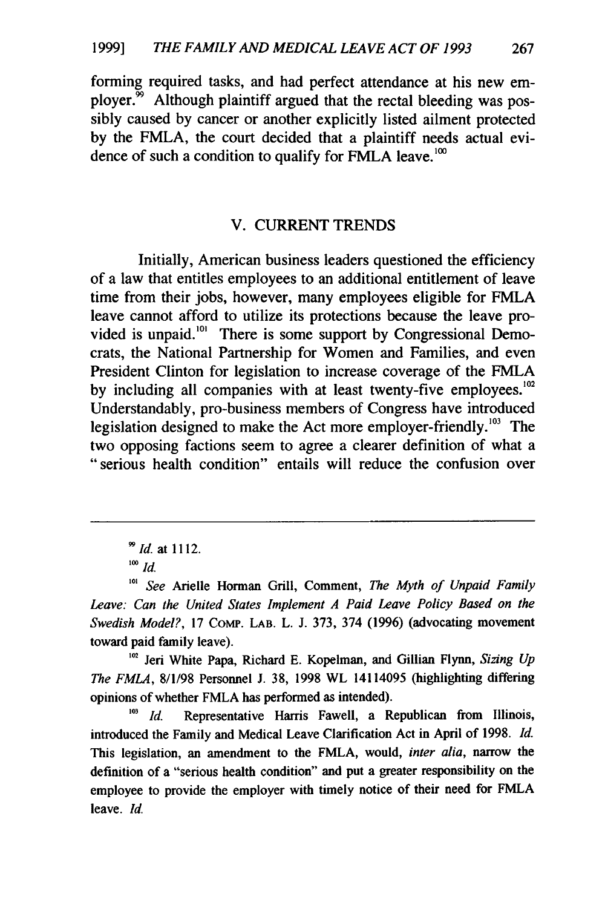forming required tasks, and had perfect attendance at his new employer. $\frac{59}{10}$  Although plaintiff argued that the rectal bleeding was possibly caused **by** cancer or another explicitly listed ailment protected **by** the FMLA, the court decided that a plaintiff needs actual evidence of such a condition to qualify for FMLA leave.<sup>100</sup>

#### V. CURRENT **TRENDS**

Initially, American business leaders questioned the efficiency of a law that entitles employees to an additional entitlement of leave time from their jobs, however, many employees eligible for FMLA leave cannot afford to utilize its protections because the leave provided is unpaid.'' There is some support **by** Congressional Democrats, the National Partnership for Women and Families, and even President Clinton for legislation to increase coverage of the FMLA by including all companies with at least twenty-five employees.<sup>102</sup> Understandably, pro-business members of Congress have introduced legislation designed to make the Act more employer-friendly. $^{103}$  The two opposing factions seem to agree a clearer definition of what a "serious health condition" entails will reduce the confusion over

**'0'** Jeri White Papa, Richard **E.** Kopelman, and Gillian Flynn, *Sizing Up The FMLA,* **8/1/98** Personnel **J. 38, 1998** WL 14114095 (highlighting differing opinions of whether FMLA has performed as intended).

*Id.* Representative Harris Fawell, a Republican from Illinois, introduced the Family and Medical Leave Clarification Act in April of **1998.** *Id.* This legislation, an amendment to the FMLA, would, *inter alia,* narrow the definition of a "serious health condition" and put a greater responsibility on the employee to provide the employer with timely notice of their need for FMLA leave. **Id.**

*<sup>99</sup>Id.* at **1112.**

<sup>&</sup>lt;sup>100</sup> *Id.* 

*<sup>1°&#</sup>x27; See* Arielle Horman Grill, Comment, *The Myth of Unpaid Family Leave: Can the United States Implement A Paid Leave Policy Based on the Swedish Model?,* **17** COMp. LAB. L. **J. 373,** 374 **(1996)** (advocating movement toward paid family leave).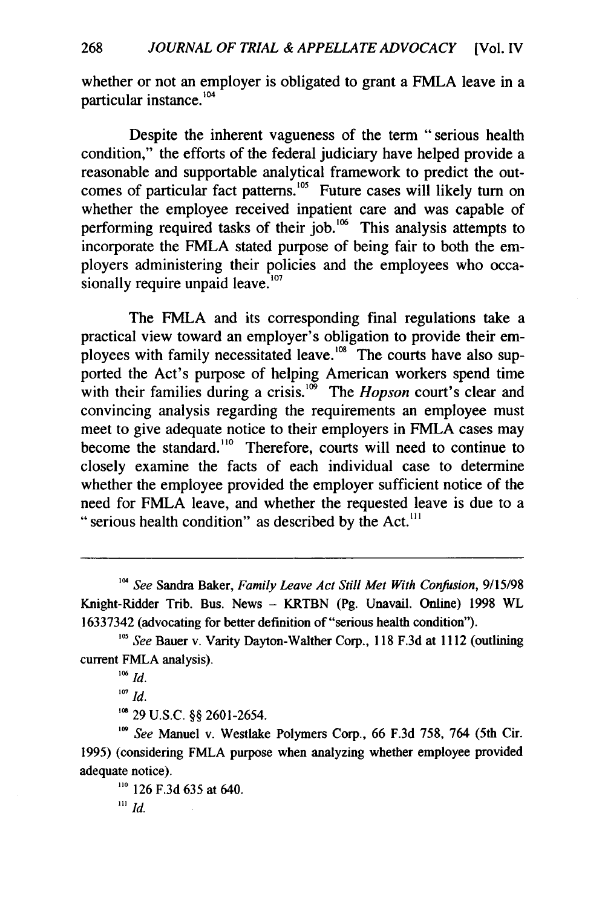whether or not an employer is obligated to grant a FMLA leave in a particular instance.<sup>104</sup>

Despite the inherent vagueness of the term "serious health condition," the efforts of the federal judiciary have helped provide a reasonable and supportable analytical framework to predict the outcomes of particular fact patterns.<sup>105</sup> Future cases will likely turn on whether the employee received inpatient care and was capable of performing required tasks of their job.<sup>106</sup> This analysis attempts to incorporate the FMLA stated purpose of being fair to both the employers administering their policies and the employees who occasionally require unpaid leave.<sup>107</sup>

The FMLA and its corresponding final regulations take a practical view toward an employer's obligation to provide their employees with family necessitated leave.<sup>108</sup> The courts have also supported the Act's purpose of helping American workers spend time with their families during a crisis.<sup>109</sup> The *Hopson* court's clear and convincing analysis regarding the requirements an employee must meet to give adequate notice to their employers in FMLA cases may become the standard.<sup>110</sup> Therefore, courts will need to continue to closely examine the facts of each individual case to determine whether the employee provided the employer sufficient notice of the need for FMLA leave, and whether the requested leave is due to a " serious health condition" as described by the Act.<sup>111</sup>

**'08** 29 U.S.C. §§ 2601-2654.

*'09 See* Manuel v. Westlake Polymers Corp., 66 F.3d 758, 764 (5th Cir. 1995) (considering FMLA purpose when analyzing whether employee provided adequate notice).

**"0** 126 F.3d 635 at 640. *11' Id.*

<sup>&</sup>lt;sup>104</sup> See Sandra Baker, *Family Leave Act Still Met With Confusion*, 9/15/98 Knight-Ridder Trib. Bus. News - KRTBN (Pg. Unavail. Online) 1998 WL 16337342 (advocating for better definition of "serious health condition").

<sup>&</sup>lt;sup>105</sup> *See* Bauer v. Varity Dayton-Walther Corp., 118 F.3d at 1112 (outlining current FMLA analysis).

 $106$  *Id.* 

**<sup>107</sup>** *Id.*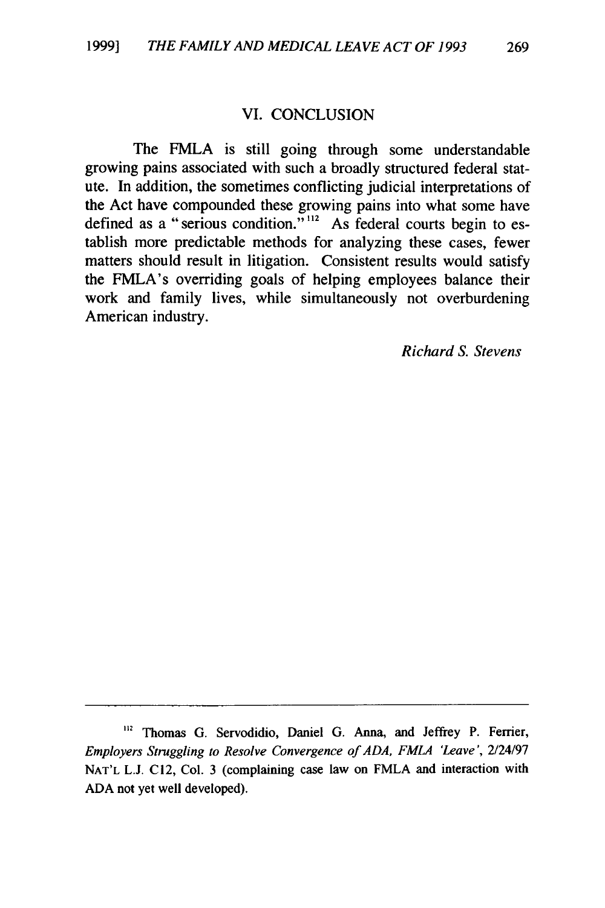#### VI. CONCLUSION

The FMLA is still going through some understandable growing pains associated with such a broadly structured federal statute. In addition, the sometimes conflicting judicial interpretations of the Act have compounded these growing pains into what some have defined as a "serious condition."<sup>112</sup> As federal courts begin to establish more predictable methods for analyzing these cases, fewer matters should result in litigation. Consistent results would satisfy the FMLA's overriding goals of helping employees balance their work and family lives, while simultaneously not overburdening American industry.

*Richard S. Stevens*

**<sup>...</sup>** Thomas G. Servodidio, Daniel G. Anna, and Jeffrey P. Ferrier, *Employers Struggling to Resolve Convergence of ADA, FMLA 'Leave',* 2/24/97 **NAT'L** L.J. C12, Col. 3 (complaining case law on FMLA and interaction with ADA not yet well developed).